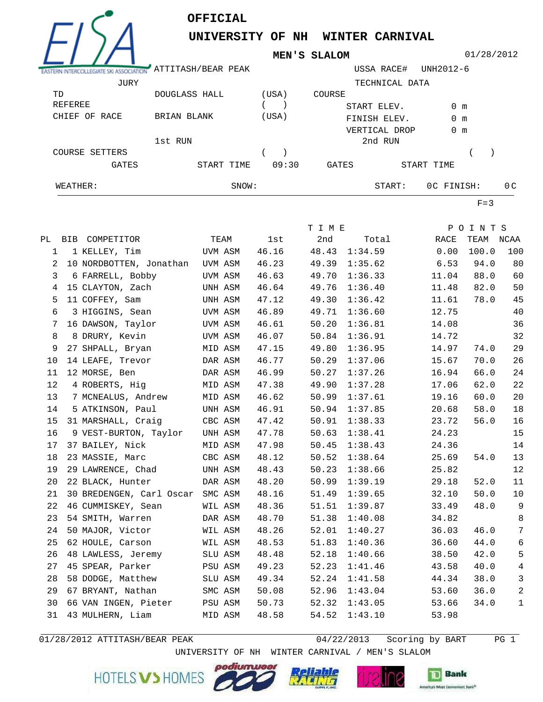

## **OFFICIAL**

**UNIVERSITY OF NH WINTER CARNIVAL**

**MEN'S SLALOM**

01/28/2012

| WEATHER:                 | SNOW:              |       |        | START:         | OC FINISH:    | 0 <sup>C</sup> |
|--------------------------|--------------------|-------|--------|----------------|---------------|----------------|
| <b>GATES</b>             | START TIME         | 09:30 | GATES  |                | START TIME    |                |
| COURSE SETTERS           |                    |       |        |                |               |                |
|                          | 1st RUN            |       |        | 2nd RUN        |               |                |
|                          |                    |       |        | VERTICAL DROP  | $0 \text{ m}$ |                |
| RACE<br>CHIEF<br>OF      | BRIAN BLANK        | (USA) |        | FINISH ELEV.   | $0 \text{ m}$ |                |
| REFEREE                  |                    |       |        | START ELEV.    | $0 \text{ m}$ |                |
| TD                       | DOUGLASS HALL      | (USA) | COURSE |                |               |                |
| JURY                     |                    |       |        | TECHNICAL DATA |               |                |
|                          | ATTITASH/BEAR PEAK |       |        | USSA RACE#     | UNH2012-6     |                |
| $\overline{\phantom{a}}$ |                    |       |        |                |               |                |

 $F=3$ 

|              |                                  |         |       | T I M E |         |       | POINTS    |                |
|--------------|----------------------------------|---------|-------|---------|---------|-------|-----------|----------------|
|              | PL BIB COMPETITOR                | TEAM    | 1st   | 2nd     | Total   | RACE  | TEAM NCAA |                |
| $\mathbf{1}$ | 1 KELLEY, Tim                    | UVM ASM | 46.16 | 48.43   | 1:34.59 | 0.00  | 100.0     | 100            |
| 2            | 10 NORDBOTTEN, Jonathan UVM ASM  |         | 46.23 | 49.39   | 1:35.62 | 6.53  | 94.0      | 80             |
| 3            | 6 FARRELL, Bobby                 | UVM ASM | 46.63 | 49.70   | 1:36.33 | 11.04 | 88.0      | 60             |
| 4            | 15 CLAYTON, Zach                 | UNH ASM | 46.64 | 49.76   | 1:36.40 | 11.48 | 82.0      | 50             |
| 5            | 11 COFFEY, Sam                   | UNH ASM | 47.12 | 49.30   | 1:36.42 | 11.61 | 78.0      | 45             |
| 6            | 3 HIGGINS, Sean                  | UVM ASM | 46.89 | 49.71   | 1:36.60 | 12.75 |           | 40             |
| 7            | 16 DAWSON, Taylor                | UVM ASM | 46.61 | 50.20   | 1:36.81 | 14.08 |           | 36             |
| 8            | 8 DRURY, Kevin                   | UVM ASM | 46.07 | 50.84   | 1:36.91 | 14.72 |           | 32             |
| 9            | 27 SHPALL, Bryan                 | MID ASM | 47.15 | 49.80   | 1:36.95 | 14.97 | 74.0      | 29             |
| 10           | 14 LEAFE, Trevor                 | DAR ASM | 46.77 | 50.29   | 1:37.06 | 15.67 | 70.0      | 26             |
| 11           | 12 MORSE, Ben                    | DAR ASM | 46.99 | 50.27   | 1:37.26 | 16.94 | 66.0      | 24             |
| 12           | 4 ROBERTS, Hiq                   | MID ASM | 47.38 | 49.90   | 1:37.28 | 17.06 | 62.0      | 22             |
| 13           | 7 MCNEALUS, Andrew               | MID ASM | 46.62 | 50.99   | 1:37.61 | 19.16 | 60.0      | 20             |
| 14           | 5 ATKINSON, Paul                 | UNH ASM | 46.91 | 50.94   | 1:37.85 | 20.68 | 58.0      | $18\,$         |
| 15           | 31 MARSHALL, Craig               | CBC ASM | 47.42 | 50.91   | 1:38.33 | 23.72 | 56.0      | $16$           |
| 16           | 9 VEST-BURTON, Taylor            | UNH ASM | 47.78 | 50.63   | 1:38.41 | 24.23 |           | 15             |
| 17           | 37 BAILEY, Nick                  | MID ASM | 47.98 | 50.45   | 1:38.43 | 24.36 |           | 14             |
| 18           | 23 MASSIE, Marc                  | CBC ASM | 48.12 | 50.52   | 1:38.64 | 25.69 | 54.0      | 13             |
| 19           | 29 LAWRENCE, Chad                | UNH ASM | 48.43 | 50.23   | 1:38.66 | 25.82 |           | 12             |
| 20           | 22 BLACK, Hunter                 | DAR ASM | 48.20 | 50.99   | 1:39.19 | 29.18 | 52.0      | 11             |
| 21           | 30 BREDENGEN, Carl Oscar SMC ASM |         | 48.16 | 51.49   | 1:39.65 | 32.10 | 50.0      | 10             |
| 22           | 46 CUMMISKEY, Sean               | WIL ASM | 48.36 | 51.51   | 1:39.87 | 33.49 | 48.0      | 9              |
| 23           | 54 SMITH, Warren                 | DAR ASM | 48.70 | 51.38   | 1:40.08 | 34.82 |           | 8              |
| 24           | 50 MAJOR, Victor                 | WIL ASM | 48.26 | 52.01   | 1:40.27 | 36.03 | 46.0      | $7\phantom{.}$ |
| 25           | 62 HOULE, Carson                 | WIL ASM | 48.53 | 51.83   | 1:40.36 | 36.60 | 44.0      | $\sqrt{6}$     |
| 26           | 48 LAWLESS, Jeremy               | SLU ASM | 48.48 | 52.18   | 1:40.66 | 38.50 | 42.0      | 5              |
| 27           | 45 SPEAR, Parker                 | PSU ASM | 49.23 | 52.23   | 1:41.46 | 43.58 | 40.0      | $\overline{4}$ |
| 28           | 58 DODGE, Matthew                | SLU ASM | 49.34 | 52.24   | 1:41.58 | 44.34 | 38.0      | $\mathbf{3}$   |
| 29           | 67 BRYANT, Nathan                | SMC ASM | 50.08 | 52.96   | 1:43.04 | 53.60 | 36.0      | 2              |
| 30           | 66 VAN INGEN, Pieter PSU ASM     |         | 50.73 | 52.32   | 1:43.05 | 53.66 | 34.0      | $\mathbf 1$    |
| 31           | 43 MULHERN, Liam                 | MID ASM | 48.58 | 54.52   | 1:43.10 | 53.98 |           |                |

 $01/28/2012$  ATTITASH/BEAR PEAK

 $04/22/2013$  Scoring by BART PG 1

HOTELS V > HOMES





UNIVERSITY OF NH WINTER CARNIVAL / MEN'S SLALOM

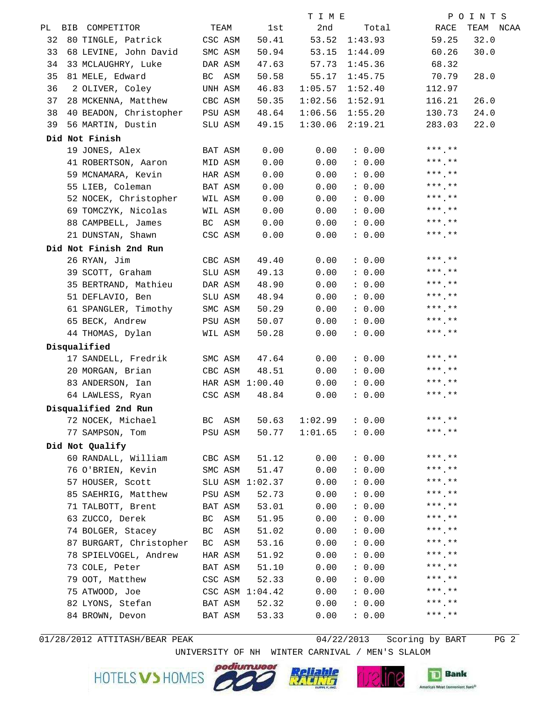|    |                                  |           |                 | TIME    |                 | POINTS            |
|----|----------------------------------|-----------|-----------------|---------|-----------------|-------------------|
|    | PL BIB COMPETITOR                | TEAM      | 1st i           | 2nd     | Total           | RACE<br>TEAM NCAA |
| 32 | 80 TINGLE, Patrick CSC ASM       |           | 50.41           |         | 53.52 1:43.93   | 32.0<br>59.25     |
| 33 | 68 LEVINE, John David SMC ASM    |           | 50.94           |         | 53.15 1:44.09   | 30.0<br>60.26     |
| 34 | 33 MCLAUGHRY, Luke               | DAR ASM   | 47.63           | 57.73   | 1:45.36         | 68.32             |
| 35 | 81 MELE, Edward                  | BC ASM    | 50.58           | 55.17   | 1:45.75         | 70.79<br>28.0     |
| 36 | 2 OLIVER, Coley                  | UNH ASM   | 46.83           | 1:05.57 | 1:52.40         | 112.97            |
| 37 | 28 MCKENNA, Matthew CBC ASM      |           | 50.35           | 1:02.56 | 1:52.91         | 116.21<br>26.0    |
| 38 | 40 BEADON, Christopher PSU ASM   |           | 48.64           | 1:06.56 | 1:55.20         | 24.0<br>130.73    |
| 39 | 56 MARTIN, Dustin                | SLU ASM   | 49.15           | 1:30.06 | 2:19.21         | 283.03<br>22.0    |
|    | Did Not Finish                   |           |                 |         |                 |                   |
|    | 19 JONES, Alex                   | BAT ASM   | 0.00            | 0.00    | : 0.00          | $***$ .**         |
|    | 41 ROBERTSON, Aaron              | MID ASM   | 0.00            | 0.00    | : 0.00          | $***$ .**         |
|    | 59 MCNAMARA, Kevin HAR ASM       |           | 0.00            | 0.00    | : 0.00          | $***$ **          |
|    | 55 LIEB, Coleman BAT ASM         |           | 0.00            | 0.00    | : 0.00          | $***$ .**         |
|    | 52 NOCEK, Christopher WIL ASM    |           | 0.00            | 0.00    |                 | $0.00$ ***.**     |
|    | 69 TOMCZYK, Nicolas WIL ASM      |           | 0.00            | 0.00    | : 0.00          | *** **            |
|    | 88 CAMPBELL, James BC ASM        |           | 0.00            | 0.00    | : 0.00          | *** **            |
|    | 21 DUNSTAN, Shawn                | CSC ASM   | 0.00            | 0.00    | : 0.00          | $***$ **          |
|    | Did Not Finish 2nd Run           |           |                 |         |                 |                   |
|    | 26 RYAN, Jim                     | CBC ASM   | 49.40           | 0.00    | : 0.00          | $***$ **          |
|    | 39 SCOTT, Graham                 | SLU ASM   | 49.13           | 0.00    | : 0.00          | $***$ **          |
|    | 35 BERTRAND, Mathieu DAR ASM     |           | 48.90           | 0.00    | : 0.00          | $***$ ***         |
|    | 51 DEFLAVIO, Ben SLU ASM         |           | 48.94           | 0.00    | : 0.00          | $***$ .**         |
|    | 61 SPANGLER, Timothy SMC ASM     |           | 50.29           | 0.00    | : 0.00          | $***$ **          |
|    | 65 BECK, Andrew                  | PSU ASM   | 50.07           | 0.00    | : 0.00          | $***$ **          |
|    | 44 THOMAS, Dylan WIL ASM         |           | 50.28           | 0.00    | : 0.00          | $***$ **          |
|    | Disqualified                     |           |                 |         |                 |                   |
|    | 17 SANDELL, Fredrik SMC ASM      |           | 47.64           | 0.00    |                 | $0.00$ ***.**     |
|    | 20 MORGAN, Brian CBC ASM 48.51   |           |                 |         | $0.00$ : $0.00$ | $***$ . **        |
|    | 83 ANDERSON, Ian MAR ASM 1:00.40 |           |                 | 0.00    | : 0.00          | $***$ **          |
|    | 64 LAWLESS, Ryan                 | CSC ASM   | 48.84           | 0.00    | : 0.00          | ***.**            |
|    | Disqualified 2nd Run             |           |                 |         |                 |                   |
|    | 72 NOCEK, Michael                | BC ASM    | 50.63           | 1:02.99 | : 0.00          | $***$ **          |
|    | 77 SAMPSON, Tom                  | PSU ASM   | 50.77           | 1:01.65 | : 0.00          | $***$ **          |
|    | Did Not Qualify                  |           |                 |         |                 |                   |
|    | 60 RANDALL, William              | CBC ASM   | 51.12           | 0.00    | : 0.00          | $***$ **          |
|    | 76 O'BRIEN, Kevin                | SMC ASM   | 51.47           | 0.00    | : 0.00          | $***$ , **        |
|    | 57 HOUSER, Scott                 |           | SLU ASM 1:02.37 | 0.00    | : 0.00          | $***$ **          |
|    | 85 SAEHRIG, Matthew              | PSU ASM   | 52.73           | 0.00    | : 0.00          | $***$ **          |
|    | 71 TALBOTT, Brent                | BAT ASM   | 53.01           | 0.00    | : 0.00          | $***$ **          |
|    | 63 ZUCCO, Derek                  | BC ASM    | 51.95           | 0.00    | : 0.00          | $***$ **          |
|    | 74 BOLGER, Stacey                | BC<br>ASM | 51.02           | 0.00    | : 0.00          | $***$ **          |
|    | 87 BURGART, Christopher          | BC<br>ASM | 53.16           | 0.00    | : 0.00          | $***$ .**         |
|    | 78 SPIELVOGEL, Andrew            | HAR ASM   | 51.92           | 0.00    | : 0.00          | $***$ **          |
|    | 73 COLE, Peter                   | BAT ASM   | 51.10           | 0.00    | : 0.00          | $***$ **          |
|    | 79 OOT, Matthew                  | CSC ASM   | 52.33           | 0.00    | : 0.00          | $***$ **          |
|    | 75 ATWOOD, Joe                   |           | CSC ASM 1:04.42 | 0.00    | : 0.00          | $***$ **          |
|    | 82 LYONS, Stefan                 | BAT ASM   | 52.32           | 0.00    | : 0.00          | $***$ **          |
|    | 84 BROWN, Devon                  | BAT ASM   | 53.33           | 0.00    | : 0.00          | $***$ **          |
|    |                                  |           |                 |         |                 |                   |

 $01/28/2012$  ATTITASH/BEAR PEAK

 $04/22/2013$  Scoring by BART PG 2

HOTELS VS HOMES COLLECT





UNIVERSITY OF NH WINTER CARNIVAL / MEN'S SLALOM



JI